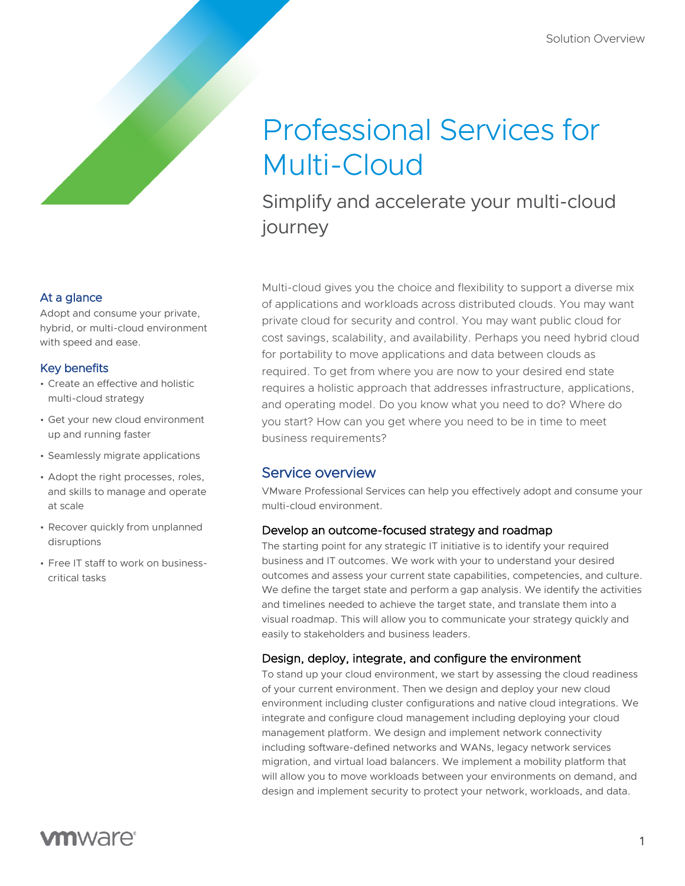# Professional Services for Multi-Cloud

Simplify and accelerate your multi-cloud journey

At a glance

Adopt and consume your private, hybrid, or multi-cloud environment with speed and ease.

#### Key benefits

- Create an effective and holistic multi-cloud strategy
- Get your new cloud environment up and running faster
- Seamlessly migrate applications
- Adopt the right processes, roles, and skills to manage and operate at scale
- Recover quickly from unplanned disruptions
- Free IT staff to work on businesscritical tasks

Multi-cloud gives you the choice and flexibility to support a diverse mix of applications and workloads across distributed clouds. You may want private cloud for security and control. You may want public cloud for cost savings, scalability, and availability. Perhaps you need hybrid cloud for portability to move applications and data between clouds as required. To get from where you are now to your desired end state requires a holistic approach that addresses infrastructure, applications, and operating model. Do you know what you need to do? Where do you start? How can you get where you need to be in time to meet business requirements?

## Service overview

VMware Professional Services can help you effectively adopt and consume your multi-cloud environment.

## Develop an outcome-focused strategy and roadmap

The starting point for any strategic IT initiative is to identify your required [business and IT outcomes.](https://www.vmware.com/content/dam/digitalmarketing/vmware/en/pdf/solutions/vmware-outcome-focused-workshop-solution-overview.pdf) We work with your to understand your desired outcomes and assess your current state capabilities, competencies, and culture. We define the target state and perform a gap analysis. We identify the activities and timelines needed to achieve the target state, and translate them into a visual roadmap. This will allow you to communicate your strategy quickly and easily to stakeholders and business leaders.

## Design, deploy, integrate, and configure the environment

To stand up your cloud environment, we start by assessing the cloud readiness of your current environment. Then we design and deploy your new cloud environment including cluster configurations and native cloud integrations. We integrate and configure cloud management including deploying your cloud management platform. We design and implement network connectivity including software-defined networks and WANs, legacy network services migration, and virtual load balancers. We implement a mobility platform that will allow you to move workloads between your environments on demand, and design and implement security to protect your network, workloads, and data.